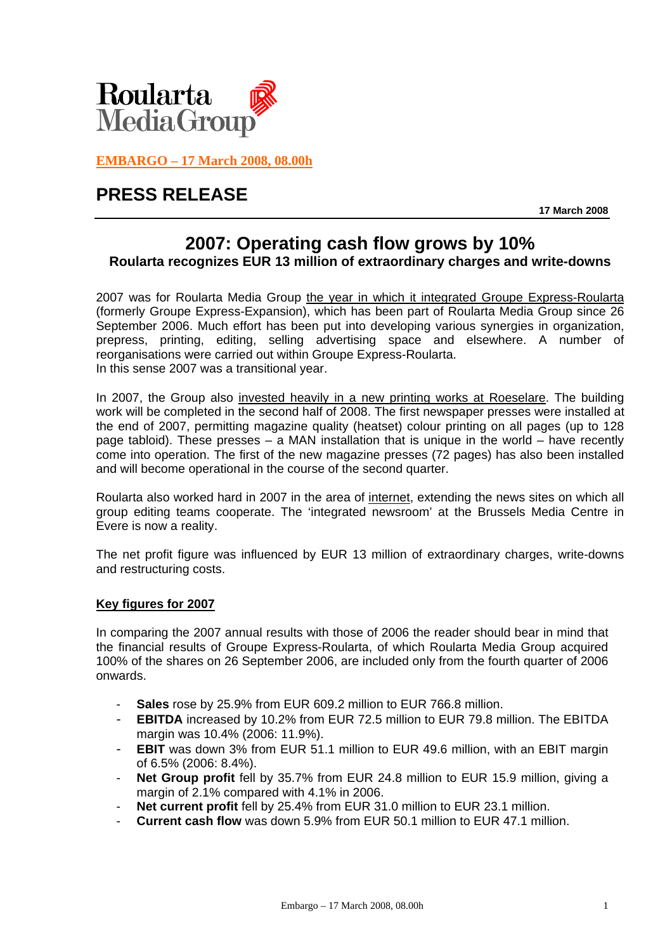

**EMBARGO – 17 March 2008, 08.00h**

# **PRESS RELEASE**

**17 March 2008** 

# **2007: Operating cash flow grows by 10% Roularta recognizes EUR 13 million of extraordinary charges and write-downs**

2007 was for Roularta Media Group the year in which it integrated Groupe Express-Roularta (formerly Groupe Express-Expansion), which has been part of Roularta Media Group since 26 September 2006. Much effort has been put into developing various synergies in organization, prepress, printing, editing, selling advertising space and elsewhere. A number of reorganisations were carried out within Groupe Express-Roularta. In this sense 2007 was a transitional year.

In 2007, the Group also invested heavily in a new printing works at Roeselare. The building work will be completed in the second half of 2008. The first newspaper presses were installed at the end of 2007, permitting magazine quality (heatset) colour printing on all pages (up to 128 page tabloid). These presses – a MAN installation that is unique in the world – have recently come into operation. The first of the new magazine presses (72 pages) has also been installed and will become operational in the course of the second quarter.

Roularta also worked hard in 2007 in the area of internet, extending the news sites on which all group editing teams cooperate. The 'integrated newsroom' at the Brussels Media Centre in Evere is now a reality.

The net profit figure was influenced by EUR 13 million of extraordinary charges, write-downs and restructuring costs.

# **Key figures for 2007**

In comparing the 2007 annual results with those of 2006 the reader should bear in mind that the financial results of Groupe Express-Roularta, of which Roularta Media Group acquired 100% of the shares on 26 September 2006, are included only from the fourth quarter of 2006 onwards.

- **Sales** rose by 25.9% from EUR 609.2 million to EUR 766.8 million.
- **EBITDA** increased by 10.2% from EUR 72.5 million to EUR 79.8 million. The EBITDA margin was 10.4% (2006: 11.9%).
- **EBIT** was down 3% from EUR 51.1 million to EUR 49.6 million, with an EBIT margin of 6.5% (2006: 8.4%).
- **Net Group profit** fell by 35.7% from EUR 24.8 million to EUR 15.9 million, giving a margin of 2.1% compared with 4.1% in 2006.
- Net current profit fell by 25.4% from EUR 31.0 million to EUR 23.1 million.
- **Current cash flow** was down 5.9% from EUR 50.1 million to EUR 47.1 million.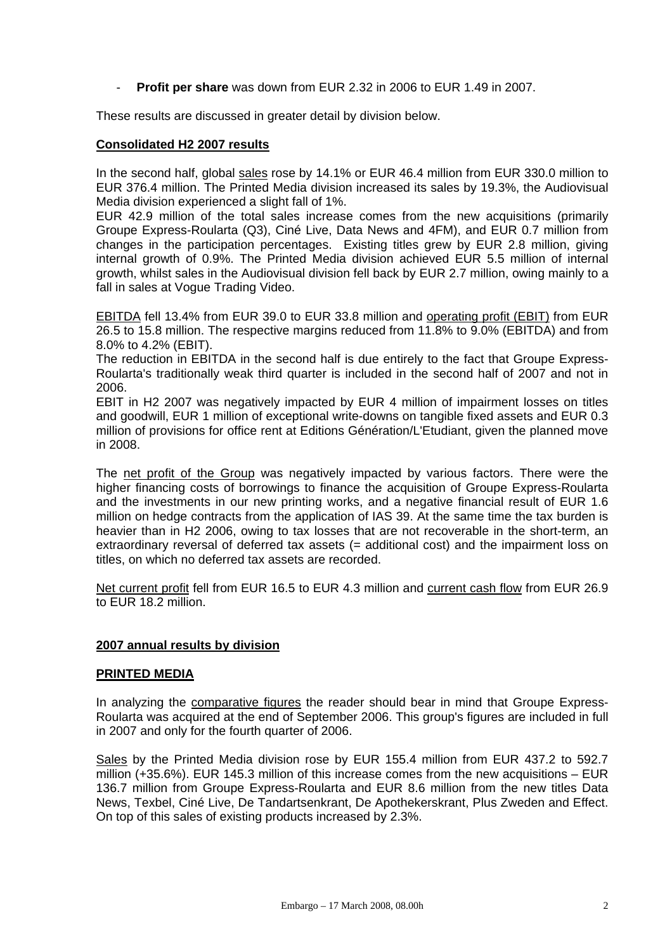- **Profit per share** was down from EUR 2.32 in 2006 to EUR 1.49 in 2007.

These results are discussed in greater detail by division below.

#### **Consolidated H2 2007 results**

In the second half, global sales rose by 14.1% or EUR 46.4 million from EUR 330.0 million to EUR 376.4 million. The Printed Media division increased its sales by 19.3%, the Audiovisual Media division experienced a slight fall of 1%.

EUR 42.9 million of the total sales increase comes from the new acquisitions (primarily Groupe Express-Roularta (Q3), Ciné Live, Data News and 4FM), and EUR 0.7 million from changes in the participation percentages. Existing titles grew by EUR 2.8 million, giving internal growth of 0.9%. The Printed Media division achieved EUR 5.5 million of internal growth, whilst sales in the Audiovisual division fell back by EUR 2.7 million, owing mainly to a fall in sales at Vogue Trading Video.

EBITDA fell 13.4% from EUR 39.0 to EUR 33.8 million and operating profit (EBIT) from EUR 26.5 to 15.8 million. The respective margins reduced from 11.8% to 9.0% (EBITDA) and from 8.0% to 4.2% (EBIT).

The reduction in EBITDA in the second half is due entirely to the fact that Groupe Express-Roularta's traditionally weak third quarter is included in the second half of 2007 and not in 2006.

EBIT in H2 2007 was negatively impacted by EUR 4 million of impairment losses on titles and goodwill, EUR 1 million of exceptional write-downs on tangible fixed assets and EUR 0.3 million of provisions for office rent at Editions Génération/L'Etudiant, given the planned move in 2008.

The net profit of the Group was negatively impacted by various factors. There were the higher financing costs of borrowings to finance the acquisition of Groupe Express-Roularta and the investments in our new printing works, and a negative financial result of EUR 1.6 million on hedge contracts from the application of IAS 39. At the same time the tax burden is heavier than in H2 2006, owing to tax losses that are not recoverable in the short-term, an extraordinary reversal of deferred tax assets (= additional cost) and the impairment loss on titles, on which no deferred tax assets are recorded.

Net current profit fell from EUR 16.5 to EUR 4.3 million and current cash flow from EUR 26.9 to EUR 18.2 million.

### **2007 annual results by division**

#### **PRINTED MEDIA**

In analyzing the comparative figures the reader should bear in mind that Groupe Express-Roularta was acquired at the end of September 2006. This group's figures are included in full in 2007 and only for the fourth quarter of 2006.

Sales by the Printed Media division rose by EUR 155.4 million from EUR 437.2 to 592.7 million  $(+35.6\%)$ . EUR 145.3 million of this increase comes from the new acquisitions  $-$  EUR 136.7 million from Groupe Express-Roularta and EUR 8.6 million from the new titles Data News, Texbel, Ciné Live, De Tandartsenkrant, De Apothekerskrant, Plus Zweden and Effect. On top of this sales of existing products increased by 2.3%.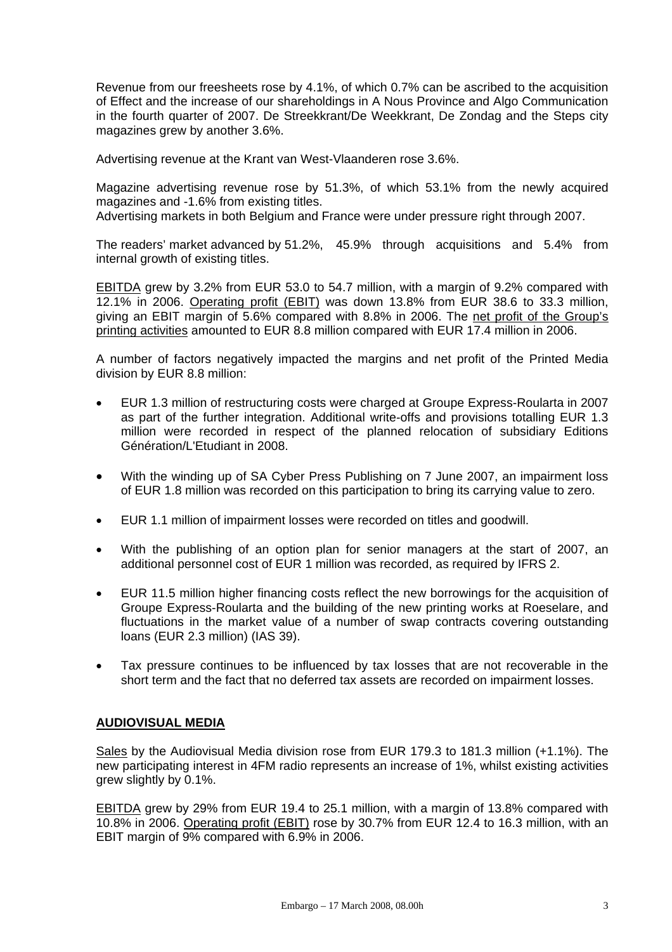Revenue from our freesheets rose by 4.1%, of which 0.7% can be ascribed to the acquisition of Effect and the increase of our shareholdings in A Nous Province and Algo Communication in the fourth quarter of 2007. De Streekkrant/De Weekkrant, De Zondag and the Steps city magazines grew by another 3.6%.

Advertising revenue at the Krant van West-Vlaanderen rose 3.6%.

Magazine advertising revenue rose by 51.3%, of which 53.1% from the newly acquired magazines and -1.6% from existing titles.

Advertising markets in both Belgium and France were under pressure right through 2007.

The readers' market advanced by 51.2%, 45.9% through acquisitions and 5.4% from internal growth of existing titles.

EBITDA grew by 3.2% from EUR 53.0 to 54.7 million, with a margin of 9.2% compared with 12.1% in 2006. Operating profit (EBIT) was down 13.8% from EUR 38.6 to 33.3 million, giving an EBIT margin of 5.6% compared with 8.8% in 2006. The net profit of the Group's printing activities amounted to EUR 8.8 million compared with EUR 17.4 million in 2006.

A number of factors negatively impacted the margins and net profit of the Printed Media division by EUR 8.8 million:

- EUR 1.3 million of restructuring costs were charged at Groupe Express-Roularta in 2007 as part of the further integration. Additional write-offs and provisions totalling EUR 1.3 million were recorded in respect of the planned relocation of subsidiary Editions Génération/L'Etudiant in 2008.
- With the winding up of SA Cyber Press Publishing on 7 June 2007, an impairment loss of EUR 1.8 million was recorded on this participation to bring its carrying value to zero.
- EUR 1.1 million of impairment losses were recorded on titles and goodwill.
- With the publishing of an option plan for senior managers at the start of 2007, an additional personnel cost of EUR 1 million was recorded, as required by IFRS 2.
- EUR 11.5 million higher financing costs reflect the new borrowings for the acquisition of Groupe Express-Roularta and the building of the new printing works at Roeselare, and fluctuations in the market value of a number of swap contracts covering outstanding loans (EUR 2.3 million) (IAS 39).
- Tax pressure continues to be influenced by tax losses that are not recoverable in the short term and the fact that no deferred tax assets are recorded on impairment losses.

# **AUDIOVISUAL MEDIA**

Sales by the Audiovisual Media division rose from EUR 179.3 to 181.3 million (+1.1%). The new participating interest in 4FM radio represents an increase of 1%, whilst existing activities grew slightly by 0.1%.

EBITDA grew by 29% from EUR 19.4 to 25.1 million, with a margin of 13.8% compared with 10.8% in 2006. Operating profit (EBIT) rose by 30.7% from EUR 12.4 to 16.3 million, with an EBIT margin of 9% compared with 6.9% in 2006.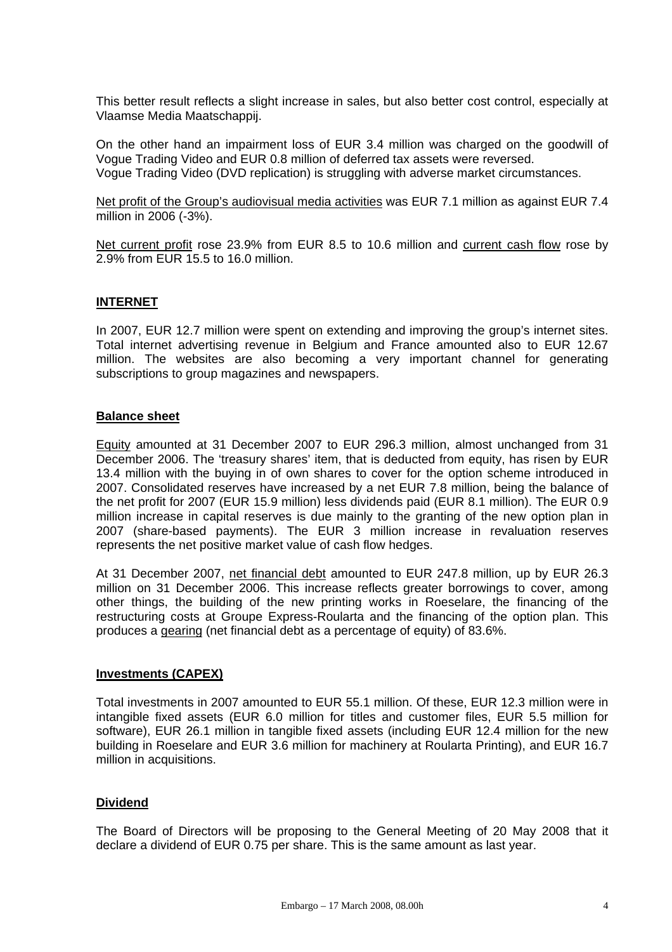This better result reflects a slight increase in sales, but also better cost control, especially at Vlaamse Media Maatschappij.

On the other hand an impairment loss of EUR 3.4 million was charged on the goodwill of Vogue Trading Video and EUR 0.8 million of deferred tax assets were reversed. Vogue Trading Video (DVD replication) is struggling with adverse market circumstances.

Net profit of the Group's audiovisual media activities was EUR 7.1 million as against EUR 7.4 million in 2006 (-3%).

Net current profit rose 23.9% from EUR 8.5 to 10.6 million and current cash flow rose by 2.9% from EUR 15.5 to 16.0 million.

#### **INTERNET**

In 2007, EUR 12.7 million were spent on extending and improving the group's internet sites. Total internet advertising revenue in Belgium and France amounted also to EUR 12.67 million. The websites are also becoming a very important channel for generating subscriptions to group magazines and newspapers.

#### **Balance sheet**

Equity amounted at 31 December 2007 to EUR 296.3 million, almost unchanged from 31 December 2006. The 'treasury shares' item, that is deducted from equity, has risen by EUR 13.4 million with the buying in of own shares to cover for the option scheme introduced in 2007. Consolidated reserves have increased by a net EUR 7.8 million, being the balance of the net profit for 2007 (EUR 15.9 million) less dividends paid (EUR 8.1 million). The EUR 0.9 million increase in capital reserves is due mainly to the granting of the new option plan in 2007 (share-based payments). The EUR 3 million increase in revaluation reserves represents the net positive market value of cash flow hedges.

At 31 December 2007, net financial debt amounted to EUR 247.8 million, up by EUR 26.3 million on 31 December 2006. This increase reflects greater borrowings to cover, among other things, the building of the new printing works in Roeselare, the financing of the restructuring costs at Groupe Express-Roularta and the financing of the option plan. This produces a gearing (net financial debt as a percentage of equity) of 83.6%.

#### **Investments (CAPEX)**

Total investments in 2007 amounted to EUR 55.1 million. Of these, EUR 12.3 million were in intangible fixed assets (EUR 6.0 million for titles and customer files, EUR 5.5 million for software), EUR 26.1 million in tangible fixed assets (including EUR 12.4 million for the new building in Roeselare and EUR 3.6 million for machinery at Roularta Printing), and EUR 16.7 million in acquisitions.

# **Dividend**

The Board of Directors will be proposing to the General Meeting of 20 May 2008 that it declare a dividend of EUR 0.75 per share. This is the same amount as last year.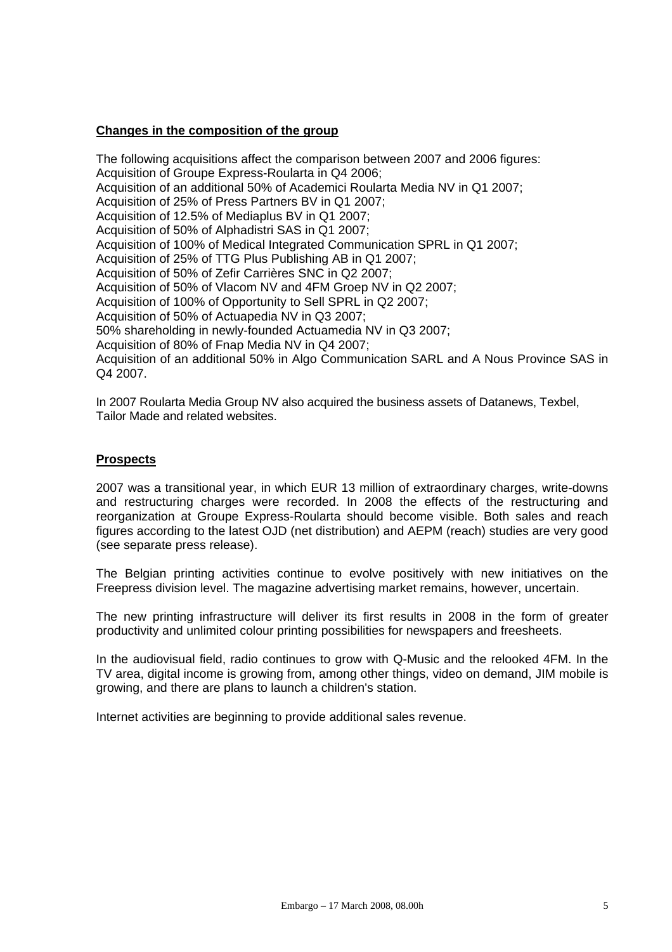# **Changes in the composition of the group**

The following acquisitions affect the comparison between 2007 and 2006 figures: Acquisition of Groupe Express-Roularta in Q4 2006; Acquisition of an additional 50% of Academici Roularta Media NV in Q1 2007; Acquisition of 25% of Press Partners BV in Q1 2007; Acquisition of 12.5% of Mediaplus BV in Q1 2007; Acquisition of 50% of Alphadistri SAS in Q1 2007; Acquisition of 100% of Medical Integrated Communication SPRL in Q1 2007; Acquisition of 25% of TTG Plus Publishing AB in Q1 2007; Acquisition of 50% of Zefir Carrières SNC in Q2 2007; Acquisition of 50% of Vlacom NV and 4FM Groep NV in Q2 2007; Acquisition of 100% of Opportunity to Sell SPRL in Q2 2007; Acquisition of 50% of Actuapedia NV in Q3 2007; 50% shareholding in newly-founded Actuamedia NV in Q3 2007; Acquisition of 80% of Fnap Media NV in Q4 2007; Acquisition of an additional 50% in Algo Communication SARL and A Nous Province SAS in Q4 2007.

In 2007 Roularta Media Group NV also acquired the business assets of Datanews, Texbel, Tailor Made and related websites.

#### **Prospects**

2007 was a transitional year, in which EUR 13 million of extraordinary charges, write-downs and restructuring charges were recorded. In 2008 the effects of the restructuring and reorganization at Groupe Express-Roularta should become visible. Both sales and reach figures according to the latest OJD (net distribution) and AEPM (reach) studies are very good (see separate press release).

The Belgian printing activities continue to evolve positively with new initiatives on the Freepress division level. The magazine advertising market remains, however, uncertain.

The new printing infrastructure will deliver its first results in 2008 in the form of greater productivity and unlimited colour printing possibilities for newspapers and freesheets.

In the audiovisual field, radio continues to grow with Q-Music and the relooked 4FM. In the TV area, digital income is growing from, among other things, video on demand, JIM mobile is growing, and there are plans to launch a children's station.

Internet activities are beginning to provide additional sales revenue.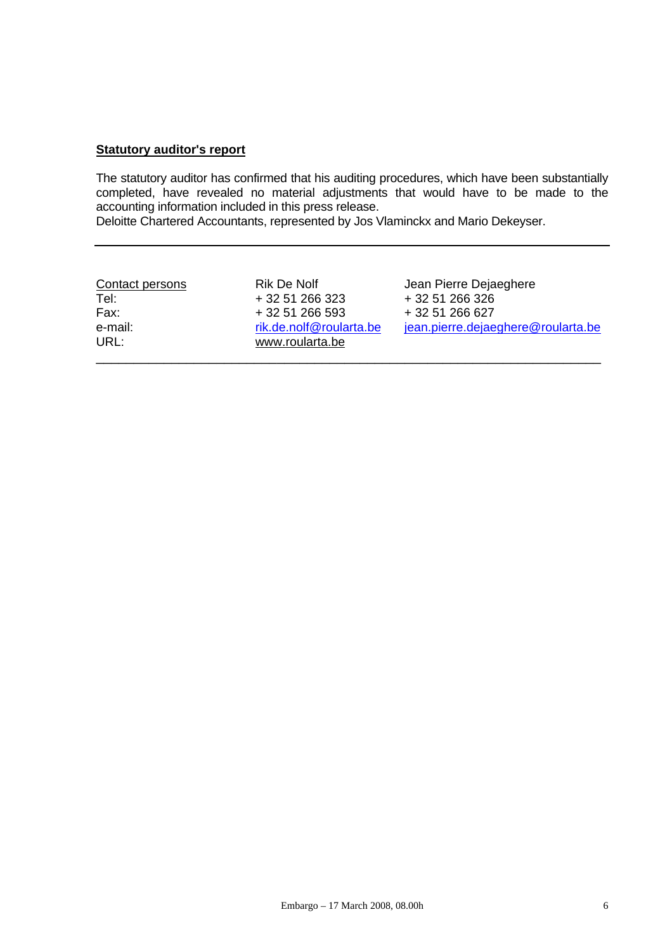#### **Statutory auditor's report**

The statutory auditor has confirmed that his auditing procedures, which have been substantially completed, have revealed no material adjustments that would have to be made to the accounting information included in this press release.

Deloitte Chartered Accountants, represented by Jos Vlaminckx and Mario Dekeyser.

| Contact persons | Rik De Nolf                                | Jean Pierre Dejaeghere             |
|-----------------|--------------------------------------------|------------------------------------|
| Tel:            | + 32 51 266 323                            | + 32 51 266 326                    |
| Fax:            | + 32 51 266 593                            | + 32 51 266 627                    |
| e-mail:<br>URL: | rik.de.nolf@roularta.be<br>www.roularta.be | jean.pierre.dejaeghere@roularta.be |
|                 |                                            |                                    |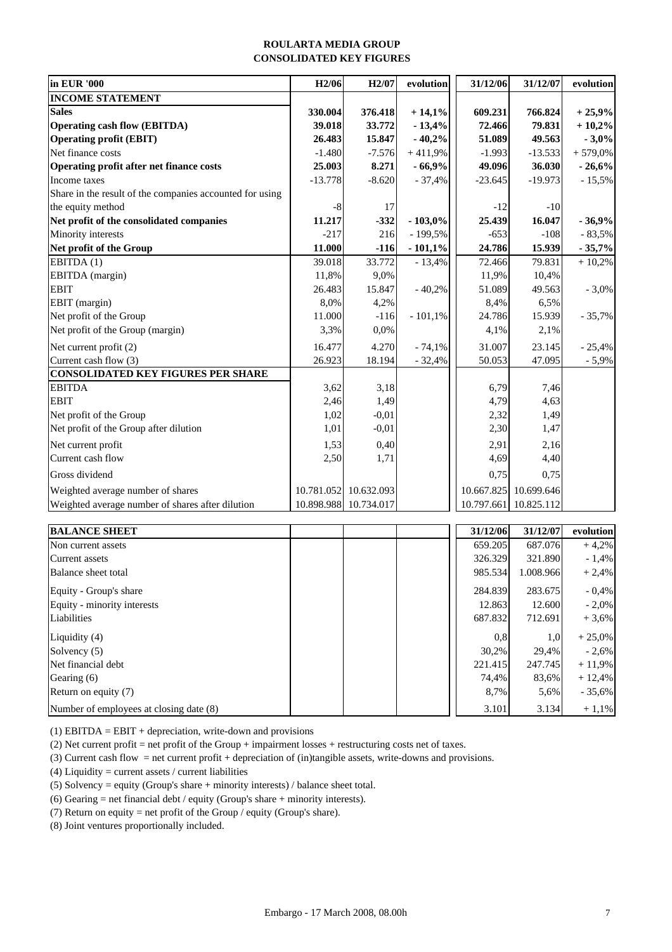#### **ROULARTA MEDIA GROUP CONSOLIDATED KEY FIGURES**

| in EUR '000                                              | H <sub>2</sub> /06 | H <sub>2</sub> /07    | evolution | 31/12/06   | 31/12/07              | evolution  |
|----------------------------------------------------------|--------------------|-----------------------|-----------|------------|-----------------------|------------|
| <b>INCOME STATEMENT</b>                                  |                    |                       |           |            |                       |            |
| <b>Sales</b>                                             | 330.004            | 376.418               | $+14,1%$  | 609.231    | 766.824               | $+25,9%$   |
| <b>Operating cash flow (EBITDA)</b>                      | 39.018             | 33.772                | $-13,4%$  | 72.466     | 79.831                | $+10,2%$   |
| <b>Operating profit (EBIT)</b>                           | 26.483             | 15.847                | $-40,2%$  | 51.089     | 49.563                | $-3,0%$    |
| Net finance costs                                        | $-1.480$           | $-7.576$              | $+411,9%$ | $-1.993$   | $-13.533$             | $+579,0\%$ |
| Operating profit after net finance costs                 | 25.003             | 8.271                 | $-66,9%$  | 49.096     | 36.030                | $-26,6%$   |
| Income taxes                                             | $-13.778$          | $-8.620$              | $-37,4%$  | $-23.645$  | $-19.973$             | $-15,5%$   |
| Share in the result of the companies accounted for using |                    |                       |           |            |                       |            |
| the equity method                                        | $-8$               | 17                    |           | $-12$      | $-10$                 |            |
| Net profit of the consolidated companies                 | 11.217             | $-332$                | $-103,0%$ | 25.439     | 16.047                | $-36,9%$   |
| Minority interests                                       | $-217$             | 216                   | - 199,5%  | $-653$     | $-108$                | $-83,5%$   |
| Net profit of the Group                                  | 11.000             | $-116$                | $-101,1%$ | 24.786     | 15.939                | $-35,7%$   |
| EBITDA(1)                                                | 39.018             | 33.772                | $-13,4%$  | 72.466     | 79.831                | $+10,2%$   |
| EBITDA (margin)                                          | 11,8%              | 9,0%                  |           | 11,9%      | 10,4%                 |            |
| <b>EBIT</b>                                              | 26.483             | 15.847                | $-40,2%$  | 51.089     | 49.563                | $-3,0%$    |
| EBIT (margin)                                            | 8,0%               | 4,2%                  |           | 8,4%       | 6,5%                  |            |
| Net profit of the Group                                  | 11.000             | $-116$                | $-101,1%$ | 24.786     | 15.939                | $-35,7%$   |
| Net profit of the Group (margin)                         | 3,3%               | 0,0%                  |           | 4,1%       | 2,1%                  |            |
| Net current profit (2)                                   | 16.477             | 4.270                 | $-74,1%$  | 31.007     | 23.145                | $-25,4%$   |
| Current cash flow (3)                                    | 26.923             | 18.194                | $-32,4%$  | 50.053     | 47.095                | $-5,9%$    |
| <b>CONSOLIDATED KEY FIGURES PER SHARE</b>                |                    |                       |           |            |                       |            |
| <b>EBITDA</b>                                            | 3,62               | 3,18                  |           | 6,79       | 7,46                  |            |
| <b>EBIT</b>                                              | 2,46               | 1,49                  |           | 4,79       | 4,63                  |            |
| Net profit of the Group                                  | 1,02               | $-0,01$               |           | 2,32       | 1,49                  |            |
| Net profit of the Group after dilution                   | 1,01               | $-0,01$               |           | 2,30       | 1,47                  |            |
| Net current profit                                       | 1,53               | 0,40                  |           | 2,91       | 2,16                  |            |
| Current cash flow                                        | 2,50               | 1,71                  |           | 4,69       | 4,40                  |            |
| Gross dividend                                           |                    |                       |           | 0,75       | 0,75                  |            |
| Weighted average number of shares                        | 10.781.052         | 10.632.093            |           | 10.667.825 | 10.699.646            |            |
| Weighted average number of shares after dilution         |                    | 10.898.988 10.734.017 |           |            | 10.797.661 10.825.112 |            |

| <b>BALANCE SHEET</b>                    | 31/12/06 | 31/12/07  | evolution |
|-----------------------------------------|----------|-----------|-----------|
| Non current assets                      | 659.205  | 687.076   | $+4,2%$   |
| Current assets                          | 326.329  | 321.890   | $-1,4%$   |
| Balance sheet total                     | 985.534  | 1.008.966 | $+2,4%$   |
| Equity - Group's share                  | 284.839  | 283.675   | $-0,4%$   |
| Equity - minority interests             | 12.863   | 12.600    | $-2,0\%$  |
| Liabilities                             | 687.832  | 712.691   | $+3.6%$   |
| Liquidity (4)                           | 0.8      | 1,0       | $+25,0\%$ |
| Solvency (5)                            | 30,2%    | 29.4%     | $-2,6%$   |
| Net financial debt                      | 221.415  | 247.745   | $+11,9%$  |
| Gearing (6)                             | 74,4%    | 83,6%     | $+12,4%$  |
| Return on equity (7)                    | 8,7%     | 5,6%      | $-35,6%$  |
| Number of employees at closing date (8) | 3.101    | 3.134     | $+1,1%$   |

(1) EBITDA = EBIT + depreciation, write-down and provisions

(2) Net current profit = net profit of the Group + impairment losses + restructuring costs net of taxes.

(3) Current cash flow = net current profit + depreciation of (in)tangible assets, write-downs and provisions.

(4) Liquidity = current assets / current liabilities

(5) Solvency = equity (Group's share + minority interests) / balance sheet total.

(6) Gearing = net financial debt / equity (Group's share + minority interests).

(7) Return on equity = net profit of the Group / equity (Group's share).

(8) Joint ventures proportionally included.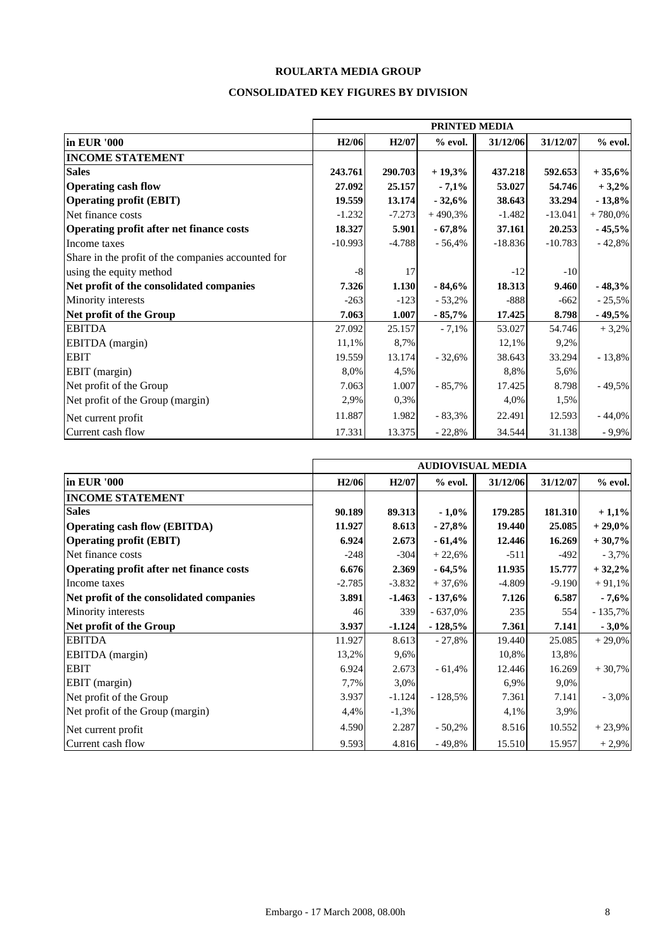# **ROULARTA MEDIA GROUP**

#### **CONSOLIDATED KEY FIGURES BY DIVISION**

|                                                    | PRINTED MEDIA      |                    |           |           |           |           |
|----------------------------------------------------|--------------------|--------------------|-----------|-----------|-----------|-----------|
| in EUR '000                                        | H <sub>2</sub> /06 | H <sub>2</sub> /07 | $%$ evol. | 31/12/06  | 31/12/07  | $%$ evol. |
| <b>INCOME STATEMENT</b>                            |                    |                    |           |           |           |           |
| <b>Sales</b>                                       | 243.761            | 290.703            | $+19,3%$  | 437.218   | 592.653   | $+35,6%$  |
| <b>Operating cash flow</b>                         | 27.092             | 25.157             | $-7,1%$   | 53.027    | 54.746    | $+3,2%$   |
| <b>Operating profit (EBIT)</b>                     | 19.559             | 13.174             | $-32,6%$  | 38.643    | 33.294    | $-13,8%$  |
| Net finance costs                                  | $-1.232$           | $-7.273$           | $+490,3%$ | $-1.482$  | $-13.041$ | $+780,0%$ |
| Operating profit after net finance costs           | 18.327             | 5.901              | $-67,8%$  | 37.161    | 20.253    | $-45,5%$  |
| Income taxes                                       | $-10.993$          | $-4.788$           | $-56,4%$  | $-18.836$ | $-10.783$ | $-42,8%$  |
| Share in the profit of the companies accounted for |                    |                    |           |           |           |           |
| using the equity method                            | $-8$               | 17                 |           | $-12$     | $-10$     |           |
| Net profit of the consolidated companies           | 7.326              | 1.130              | $-84,6%$  | 18.313    | 9.460     | $-48,3%$  |
| Minority interests                                 | $-263$             | $-123$             | $-53,2%$  | $-888$    | $-662$    | $-25,5%$  |
| Net profit of the Group                            | 7.063              | 1.007              | $-85,7%$  | 17.425    | 8.798     | $-49,5%$  |
| <b>EBITDA</b>                                      | 27.092             | 25.157             | $-7,1%$   | 53.027    | 54.746    | $+3,2%$   |
| EBITDA (margin)                                    | 11,1%              | 8,7%               |           | 12,1%     | 9,2%      |           |
| <b>EBIT</b>                                        | 19.559             | 13.174             | $-32,6%$  | 38.643    | 33.294    | $-13,8%$  |
| EBIT (margin)                                      | 8,0%               | 4,5%               |           | 8,8%      | 5,6%      |           |
| Net profit of the Group                            | 7.063              | 1.007              | $-85,7%$  | 17.425    | 8.798     | $-49,5%$  |
| Net profit of the Group (margin)                   | 2,9%               | 0,3%               |           | 4,0%      | 1,5%      |           |
| Net current profit                                 | 11.887             | 1.982              | $-83,3%$  | 22.491    | 12.593    | $-44,0%$  |
| Current cash flow                                  | 17.331             | 13.375             | $-22,8%$  | 34.544    | 31.138    | $-9,9%$   |

|                                          | <b>AUDIOVISUAL MEDIA</b> |                    |           |          |          |           |
|------------------------------------------|--------------------------|--------------------|-----------|----------|----------|-----------|
| in EUR '000                              | H <sub>2</sub> /06       | H <sub>2</sub> /07 | $%$ evol. | 31/12/06 | 31/12/07 | $%$ evol. |
| <b>INCOME STATEMENT</b>                  |                          |                    |           |          |          |           |
| <b>Sales</b>                             | 90.189                   | 89.313             | $-1,0\%$  | 179.285  | 181.310  | $+1,1%$   |
| <b>Operating cash flow (EBITDA)</b>      | 11.927                   | 8.613              | $-27,8%$  | 19.440   | 25.085   | $+29,0%$  |
| <b>Operating profit (EBIT)</b>           | 6.924                    | 2.673              | $-61,4%$  | 12.446   | 16.269   | $+30,7%$  |
| Net finance costs                        | $-248$                   | $-304$             | $+22,6%$  | $-511$   | $-492$   | $-3,7%$   |
| Operating profit after net finance costs | 6.676                    | 2.369              | $-64,5%$  | 11.935   | 15.777   | $+32,2%$  |
| Income taxes                             | $-2.785$                 | $-3.832$           | $+37,6%$  | $-4.809$ | $-9.190$ | $+91,1%$  |
| Net profit of the consolidated companies | 3.891                    | $-1.463$           | $-137,6%$ | 7.126    | 6.587    | $-7,6%$   |
| Minority interests                       | 46                       | 339                | $-637,0%$ | 235      | 554      | $-135,7%$ |
| Net profit of the Group                  | 3.937                    | $-1.124$           | $-128,5%$ | 7.361    | 7.141    | $-3,0%$   |
| <b>EBITDA</b>                            | 11.927                   | 8.613              | $-27,8%$  | 19.440   | 25.085   | $+29,0\%$ |
| EBITDA (margin)                          | 13,2%                    | 9,6%               |           | 10,8%    | 13,8%    |           |
| <b>EBIT</b>                              | 6.924                    | 2.673              | $-61,4%$  | 12.446   | 16.269   | $+30,7%$  |
| EBIT (margin)                            | 7,7%                     | 3,0%               |           | 6,9%     | 9,0%     |           |
| Net profit of the Group                  | 3.937                    | $-1.124$           | $-128,5%$ | 7.361    | 7.141    | $-3,0\%$  |
| Net profit of the Group (margin)         | 4,4%                     | $-1,3%$            |           | 4,1%     | 3,9%     |           |
| Net current profit                       | 4.590                    | 2.287              | $-50,2%$  | 8.516    | 10.552   | $+23,9%$  |
| Current cash flow                        | 9.593                    | 4.816              | $-49,8%$  | 15.510   | 15.957   | $+2,9%$   |